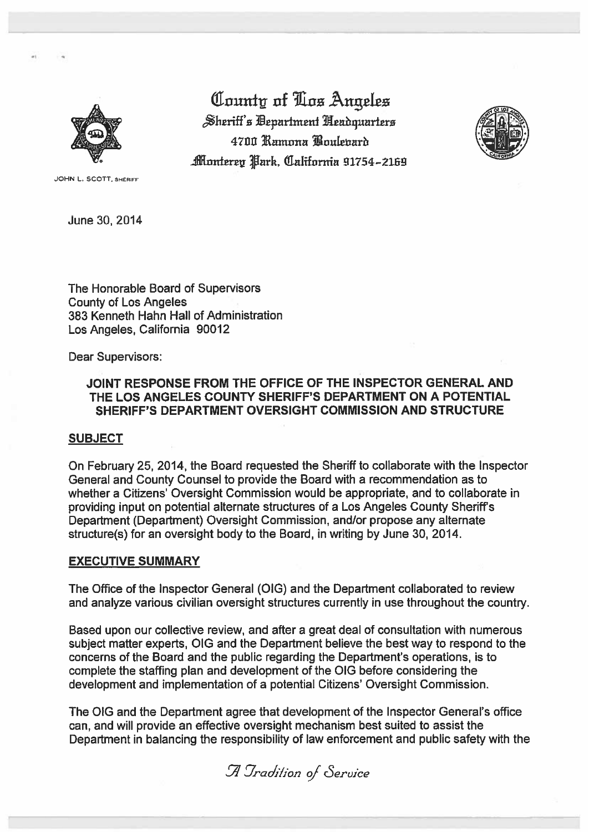

County of Tox Angeles Sheriff's Department Neadquarters 4700 Ramona Boulenard Monterey Park, California 91754–2169



JOHN L. SCOTT, SHERIFF

June 30, 2014

The Honorable Board of Supervisors **County of Los Angeles** 383 Kenneth Hahn Hall of Administration Los Angeles, California 90012

**Dear Supervisors:** 

## JOINT RESPONSE FROM THE OFFICE OF THE INSPECTOR GENERAL AND THE LOS ANGELES COUNTY SHERIFF'S DEPARTMENT ON A POTENTIAL SHERIFF'S DEPARTMENT OVERSIGHT COMMISSION AND STRUCTURE

#### **SUBJECT**

On February 25, 2014, the Board requested the Sheriff to collaborate with the Inspector General and County Counsel to provide the Board with a recommendation as to whether a Citizens' Oversight Commission would be appropriate, and to collaborate in providing input on potential alternate structures of a Los Angeles County Sheriff's Department (Department) Oversight Commission, and/or propose any alternate structure(s) for an oversight body to the Board, in writing by June 30, 2014.

#### **EXECUTIVE SUMMARY**

The Office of the Inspector General (OIG) and the Department collaborated to review and analyze various civilian oversight structures currently in use throughout the country.

Based upon our collective review, and after a great deal of consultation with numerous subject matter experts. OIG and the Department believe the best way to respond to the concerns of the Board and the public regarding the Department's operations, is to complete the staffing plan and development of the OIG before considering the development and implementation of a potential Citizens' Oversight Commission.

The OIG and the Department agree that development of the Inspector General's office can, and will provide an effective oversight mechanism best suited to assist the Department in balancing the responsibility of law enforcement and public safety with the

A Tradition of Service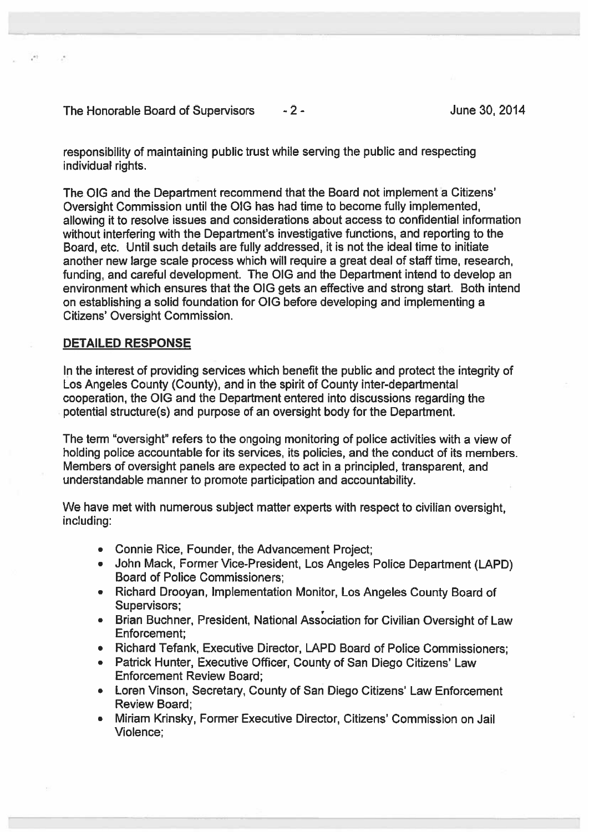The Honorable Board of Supervisors  $-2$  -  $-2$  -  $-2$  - June 30, 2014

responsibility of maintaining public trust while serving the public and respecting individual rights.

The CIG and the Department recommend that the Board not implement <sup>a</sup> Citizens' Oversight Commission until the OIG has had time to become fully implemented, allowing it to resolve issues and considerations about access to confidential information without interfering with the Department's investigative functions, and reporting to the Board, etc. Until such details are fully addressed, it is not the ideal time to initiate another new large scale process which will require <sup>a</sup> grea<sup>t</sup> deal of staff time, research, funding, and careful development. The OIG and the Department intend to develop an environment which ensures that the OIG gets an effective and strong start. Both intend on establishing <sup>a</sup> solid foundation for OIG before developing and implementing <sup>a</sup> Citizens' Oversight Commission.

# DETAILED RESPONSE

In the interest of providing services which benefit the public and protect the integrity of Los Angeles County (County), and in the spirit of County inter-departmental cooperation, the OIG and the Department entered into discussions regarding the potential structure(s) and purpose of an oversight body for the Department.

The term "oversight" refers to the ongoing monitoring of police activities with <sup>a</sup> view of holding police accountable for its services, its policies, and the conduct of its members. Members of oversight panels are expected to act in <sup>a</sup> principled, transparent, and understandable manner to promote participation and accountability.

We have met with numerous subject matter experts with respec<sup>t</sup> to civilian oversight, including:

- Connie Rice, Founder, the Advancement Project;
- John Mack, Former Vice-President, Los Angeles Police Department (LAPD) Board of Police Commissioners;
- Richard Drooyan, Implementation Monitor, Los Angeles County Board of Supervisors;
- Brian Buchner, President, National Association for Civilian Oversight of Law Enforcement;
- Richard Tefank, Executive Director, LAPD Board of Police Commissioners;
- Patrick Hunter, Executive Officer, County of San Diego Citizens' Law Enforcement Review Board;
- Loren Vinson, Secretary, County of San Diego Citizens' Law Enforcement Review Board;
- Miriam Krinsky, Former Executive Director, Citizens' Commission on Jail Violence;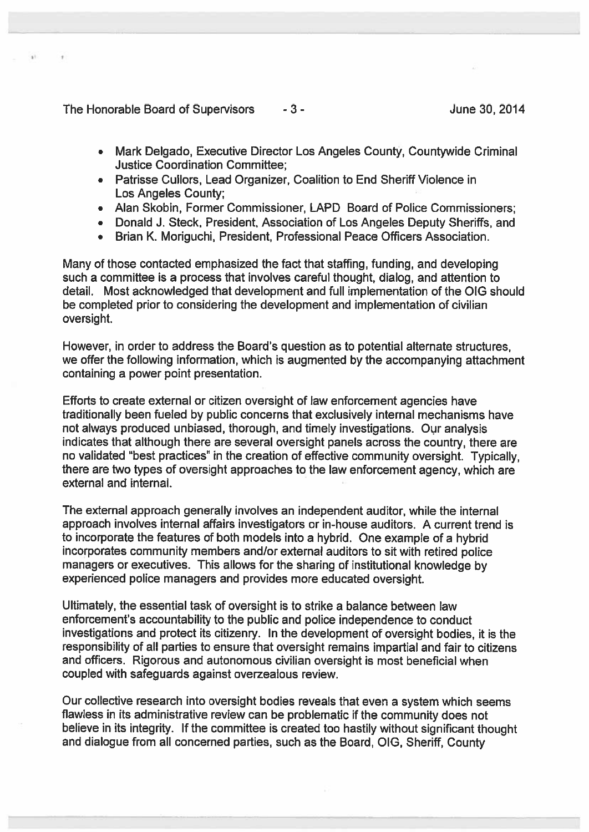The Honorable Board of Supervisors  $-3$  -  $-$  3 -  $\frac{1}{2}$  June 30, 2014

- •Mark Delgado, Executive Director Los Angeles County, Countywide Criminal Justice Coordination Committee;
- Patrisse Cullors, Lead Organizer, Coalition to End Sheriff Violence in Los Angeles County;
- Alan Skobin, Former Commissioner, LAPD Board of Police Commissioners;
- Donald J. Steck, President, Association of Los Angeles Deputy Sheriffs, and
- Brian K. Moriguchi, President, Professional Peace Officers Association.

Many of those contacted emphasized the fact that staffing, funding, and developing such <sup>a</sup> committee is <sup>a</sup> process that involves careful thought, dialog, and attention to detail. Most acknowledged that development and full implementation of the OIG should be completed prior to considering the development and implementation of civilian oversight.

However, in order to address the Board's question as to potential alternate structures, we offer the following information, which is augmented by the accompanying attachment containing <sup>a</sup> power point presentation.

Efforts to create external or citizen oversight of law enforcement agencies have traditionally been fueled by public concerns that exclusively internal mechanisms have not always produced unbiased, thorough, and timely investigations. Our analysis indicates that although there are several oversight panels across the country, there are no validated "best practices" in the creation of effective community oversight. Typically, there are two types of oversight approaches to the law enforcement agency, which are external and internal.

The external approach generally involves an independent auditor, while the internal approach involves internal affairs investigators or in-house auditors. A current trend is to incorporate the features of both models into <sup>a</sup> hybrid. One example of <sup>a</sup> hybrid incorporates community members and/or external auditors to sit with retired police managers or executives. This allows for the sharing of institutional knowledge by experienced police managers and provides more educated oversight.

Ultimately, the essential task of oversight is to strike <sup>a</sup> balance between law enforcement's accountability to the public and police independence to conduct investigations and protect its citizenry. In the development of oversight bodies, it is the responsibility of all parties to ensure that oversight remains impartial and fair to citizens and officers. Rigorous and autonomous civilian oversight is most beneficial when coupled with safeguards against overzealous review.

Our collective research into oversight bodies reveals that even <sup>a</sup> system which seems flawless in its administrative review can be problematic if the community does not believe in its integrity. If the committee is created too hastily without significant thought and dialogue from all concerned parties, such as the Board, OIG, Sheriff, County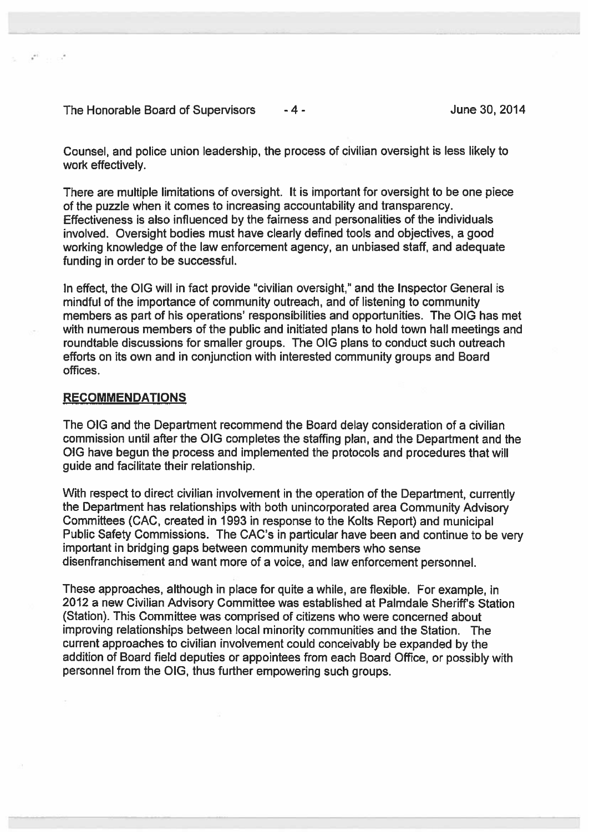The Honorable Board of Supervisors  $-4$  - The Honorable 30, 2014

Counsel, and police union leadership, the process of civilian oversight is less likely to work effectively.

There are multiple limitations of oversight. It is important for oversight to be one piece of the puzzle when it comes to increasing accountability and transparency. Effectiveness is also influenced by the fairness and personalities of the individuals involved. Oversight bodies must have clearly defined tools and objectives, <sup>a</sup> good working knowledge of the law enforcement agency, an unbiased staff, and adequate funding in order to be successful.

In effect, the OIG will in fact provide "civilian oversight," and the Inspector General is mindful of the importance of community outreach, and of listening to community members as part of his operations' responsibilities and opportunities. The OIG has met with numerous members of the public and initiated plans to hold town hall meetings and roundtable discussions for smaller groups. The OlG plans to conduct such outreach efforts on its own and in conjunction with interested community groups and Board offices.

### RECOMMENDATIONS

The QIG and the Department recommend the Board delay consideration of <sup>a</sup> civilian commission until after the OIG completes the staffing plan, and the Department and the 010 have begun the process and implemented the protocols and procedures that will guide and facilitate their relationship.

With respec<sup>t</sup> to direct civilian involvement in the operation of the Department, currently the Department has relationships with both unincorporated area Community Advisory Committees (CAC, created in 1993 in response to the Kolts Report) and municipal Public Safety Commissions. The CAC's in particular have been and continue to be very important in bridging gaps between community members who sense disenfranchisement and want more of <sup>a</sup> voice, and law enforcement personnel.

These approaches, although in <sup>p</sup>lace for quite <sup>a</sup> while, are flexible. For example, in 2012 a new Civilian Advisory Committee was established at Palmdale Sheriff's Station (Station). This Committee was comprised of citizens who were concerned about improving relationships between local minority communities and the Station. The current approaches to civilian involvement could conceivably be expanded by the addition of Board field deputies or appointees from each Board Office, or possibly with personnel from the 010, thus further empowering such groups.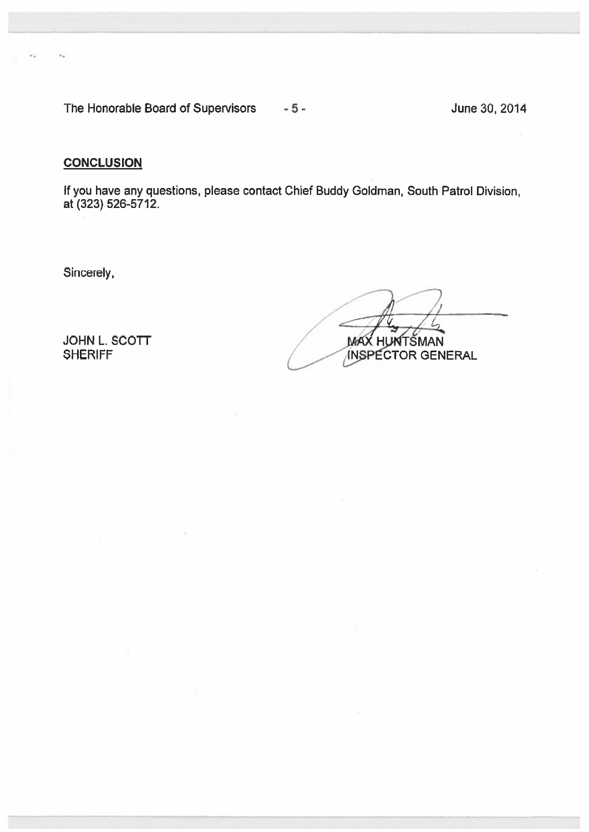The Honorable Board of Supervisors - 5 - The Honorable 30, 2014

# **CONCLUSION**

If you have any questions, please contact Chief Buddy Goldman, South Patrol Division, at (323) 526-5712.

Sincerely.

 $\bigcap$  $\Lambda$ / JOHN L. SCOTT MAX HUNTSMAN SHERIFF JINSPECTOR GENERAL